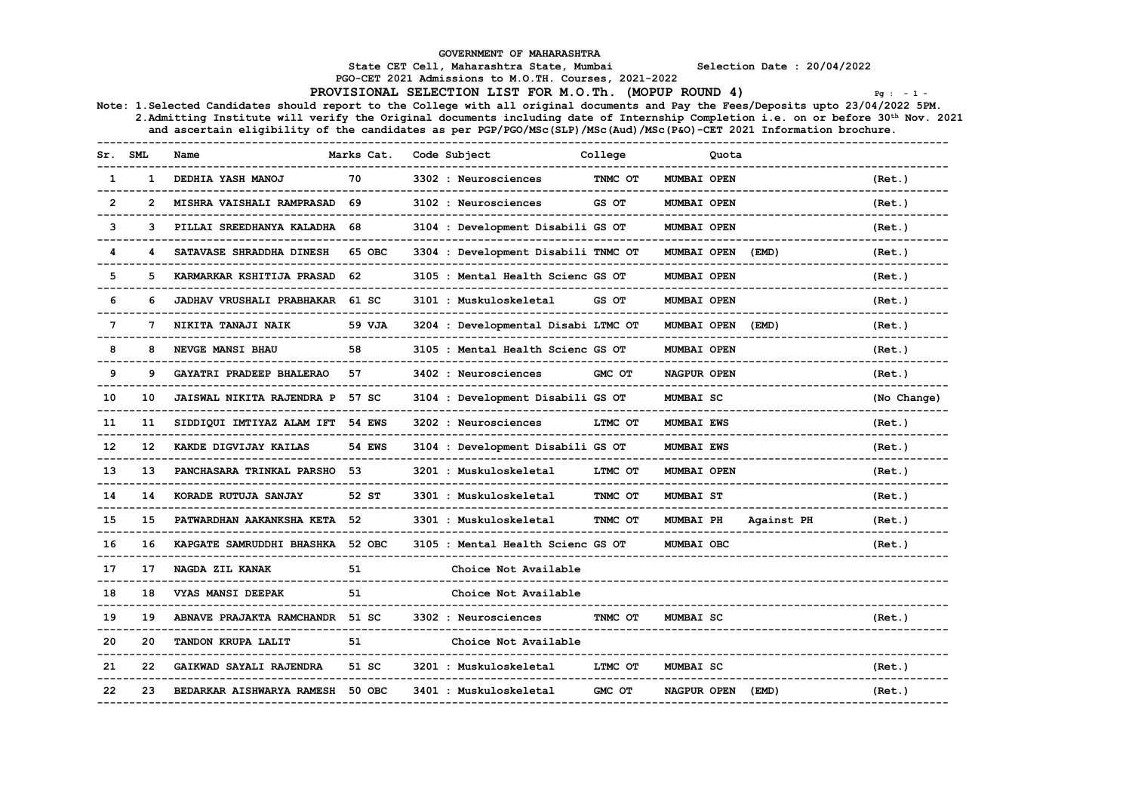GOVERNMENT OF MAHARASHTRA

State CET Cell, Maharashtra State, Mumbai Selection Date : 20/04/2022

PGO-CET 2021 Admissions to M.O.TH. Courses, 2021-2022

PROVISIONAL SELECTION LIST FOR M.O.Th. (MOPUP ROUND 4)  $P_{g}$  : -1 -

Note: 1.Selected Candidates should report to the College with all original documents and Pay the Fees/Deposits upto 23/04/2022 5PM. 2.Admitting Institute will verify the Original documents including date of Internship Completion i.e. on or before 30th Nov. 2021 and ascertain eligibility of the candidates as per PGP/PGO/MSc(SLP)/MSc(Aud)/MSc(P&O)-CET 2021 Information brochure.

------------------------------------------------------------------------------------------------------------------------------------ Marks Cat. Code Subject College Communication Contract Communication of the Music College Contract Co ------------------------------------------------------------------------------------------------------------------------------------ 1 1 DEDHIA YASH MANOJ 70 3302 : Neurosciences TNMC OT MUMBAI OPEN (Ret.) ------------------------------------------------------------------------------------------------------------------------------------ 2 2 MISHRA VAISHALI RAMPRASAD 69 3102 : Neurosciences GS OT MUMBAI OPEN (Ret.) ------------------------------------------------------------------------------------------------------------------------------------ 3 3 PILLAI SREEDHANYA KALADHA 68 3104 : Development Disabili GS OT MUMBAI OPEN (Ret.) ------------------------------------------------------------------------------------------------------------------------------------ 4 4 SATAVASE SHRADDHA DINESH 65 OBC 3304 : Development Disabili TNMC OT MUMBAI OPEN (EMD) (Ret.) ------------------------------------------------------------------------------------------------------------------------------------ 5 5 KARMARKAR KSHITIJA PRASAD 62 3105 : Mental Health Scienc GS OT MUMBAI OPEN (Ret.) ------------------------------------------------------------------------------------------------------------------------------------ 6 JADHAV VRUSHALI PRABHAKAR 61 SC 3101 : Muskuloskeletal GS OT MUMBAI OPEN ------------------------------------------------------------------------------------------------------------------------------------ 3204 : Developmental Disabi LTMC OT MUMBAI OPEN (EMD) (Ret.) ------------------------------------------------------------------------------------------------------------------------------------ 3105 : Mental Health Scienc GS OT MUMBAI OPEN (Ret.) ------------------------------------------------------------------------------------------------------------------------------------ 9 9 GAYATRI PRADEEP BHALERAO 57 3402 : Neurosciences GMC OT NAGPUR OPEN (Ret.) ------------------------------------------------------------------------------------------------------------------------------------ 10 10 JAISWAL NIKITA RAJENDRA P 57 SC 3104 : Development Disabili GS OT MUMBAI SC (No Change) ------------------------------------------------------------------------------------------------------------------------------------ 11 11 SIDDIQUI IMTIYAZ ALAM IFT 54 EWS 3202 : Neurosciences LTMC OT MUMBAI EWS (Ret.) ------------------------------------------------------------------------------------------------------------------------------------ 12 12 KAKDE DIGVIJAY KAILAS 54 EWS 3104 : Development Disabili GS OT MUMBAI EWS (Ret.) ------------------------------------------------------------------------------------------------------------------------------------ 13 13 PANCHASARA TRINKAL PARSHO 53 3201 : Muskuloskeletal LTMC OT MUMBAI OPEN (Ret.) ------------------------------------------------------------------------------------------------------------------------------------ 14 14 KORADE RUTUJA SANJAY 52 ST 3301 : Muskuloskeletal TNMC OT MUMBAI ST (Ret.) ------------------------------------------------------------------------------------------------------------------------------------ 15 15 PATWARDHAN AAKANKSHA KETA 52 3301 : Muskuloskeletal TNMC OT MUMBAI PH Against PH (Ret.) ------------------------------------------------------------------------------------------------------------------------------------ 16 16 KAPGATE SAMRUDDHI BHASHKA 52 OBC 3105 : Mental Health Scienc GS OT MUMBAI OBC (Ret.) ------------------------------------------------------------------------------------------------------------------------------------ 17 17 NAGDA ZIL KANAK 51 51 Choice Not Available ------------------------------------------------------------------------------------------------------------------------------------ 18 18 VYAS MANSI DEEPAK 51 Choice Not Available ------------------------------------------------------------------------------------------------------------------------------------ 19 19 ABNAVE PRAJAKTA RAMCHANDR 51 SC 3302 : Neurosciences TNMC OT MUMBAI SC (Ret.) ------------------------------------------------------------------------------------------------------------------------------------ 20 20 TANDON KRUPA LALIT 51 Choice Not Available ------------------------------------------------------------------------------------------------------------------------------------ 21 22 GAIKWAD SAYALI RAJENDRA 51 SC 3201 : Muskuloskeletal LTMC OT MUMBAI SC (Ret.) ------------------------------------------------------------------------------------------------------------------------------------ 22 23 BEDARKAR AISHWARYA RAMESH 50 OBC 3401 : Muskuloskeletal GMC OT NAGPUR OPEN (EMD) (Ret.) ------------------------------------------------------------------------------------------------------------------------------------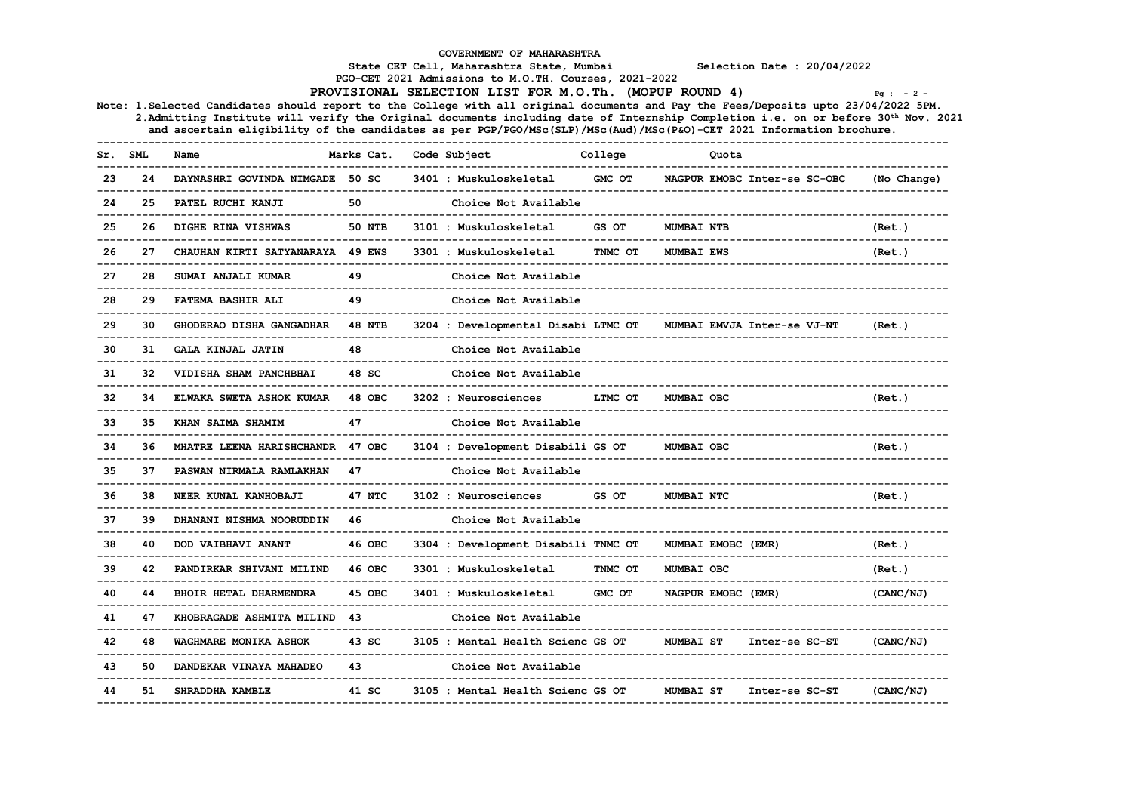|         |     |                                                                                                                                                                                                                                                            |               | GOVERNMENT OF MAHARASHTRA<br>State CET Cell, Maharashtra State, Mumbai                                          |         |                    | Selection Date : 20/04/2022  |             |  |
|---------|-----|------------------------------------------------------------------------------------------------------------------------------------------------------------------------------------------------------------------------------------------------------------|---------------|-----------------------------------------------------------------------------------------------------------------|---------|--------------------|------------------------------|-------------|--|
|         |     |                                                                                                                                                                                                                                                            |               | PGO-CET 2021 Admissions to M.O.TH. Courses, 2021-2022<br>PROVISIONAL SELECTION LIST FOR M.O.Th. (MOPUP ROUND 4) |         |                    |                              | $Pq : -2 -$ |  |
|         |     | Note: 1.Selected Candidates should report to the College with all original documents and Pay the Fees/Deposits upto 23/04/2022 5PM.                                                                                                                        |               |                                                                                                                 |         |                    |                              |             |  |
|         |     | 2. Admitting Institute will verify the Original documents including date of Internship Completion i.e. on or before 30th Nov. 2021<br>and ascertain eligibility of the candidates as per PGP/PGO/MSc(SLP)/MSc(Aud)/MSc(P&O)-CET 2021 Information brochure. |               |                                                                                                                 |         |                    |                              |             |  |
| Sr. SML |     | Name                                                                                                                                                                                                                                                       | Marks Cat.    | Code Subject                                                                                                    | College | Quota              |                              |             |  |
| 23      | 24  | DAYNASHRI GOVINDA NIMGADE 50 SC                                                                                                                                                                                                                            |               | 3401 : Muskuloskeletal                                                                                          | GMC OT  |                    | NAGPUR EMOBC Inter-se SC-OBC | (No Change) |  |
| 24      | 25  | PATEL RUCHI KANJI<br>_________________                                                                                                                                                                                                                     | 50            | Choice Not Available                                                                                            |         |                    |                              |             |  |
| 25      | 26  | DIGHE RINA VISHWAS                                                                                                                                                                                                                                         | <b>50 NTB</b> | 3101 : Muskuloskeletal                                                                                          | GS OT   | <b>MUMBAI NTB</b>  |                              | (Ret.)      |  |
| 26      | 27  | CHAUHAN KIRTI SATYANARAYA 49 EWS                                                                                                                                                                                                                           |               | 3301 : Muskuloskeletal                                                                                          | TNMC OT | <b>MUMBAI EWS</b>  |                              | (Ret.)      |  |
| 27      | 28  | SUMAI ANJALI KUMAR<br>-------------                                                                                                                                                                                                                        | 49            | Choice Not Available                                                                                            |         |                    |                              |             |  |
| 28      | 29  | FATEMA BASHIR ALI                                                                                                                                                                                                                                          | 49            | Choice Not Available                                                                                            |         |                    |                              |             |  |
| 29      | 30  | GHODERAO DISHA GANGADHAR                                                                                                                                                                                                                                   | <b>48 NTB</b> | 3204 : Developmental Disabi LTMC OT                                                                             |         |                    | MUMBAI EMVJA Inter-se VJ-NT  | (Ret.)      |  |
| 30      | 31  | GALA KINJAL JATIN<br>__________________________                                                                                                                                                                                                            | 48            | Choice Not Available<br>_____________________________                                                           |         |                    |                              |             |  |
| 31      |     | VIDISHA SHAM PANCHBHAI<br>_________________________________                                                                                                                                                                                                | 48 SC         | Choice Not Available                                                                                            |         |                    |                              |             |  |
| 32      | 34  | ELWAKA SWETA ASHOK KUMAR                                                                                                                                                                                                                                   | 48 OBC        | 3202 : Neurosciences                                                                                            | LTMC OT | MUMBAI OBC         |                              | (Ret.)      |  |
| 33      | 35. | KHAN SAIMA SHAMIM                                                                                                                                                                                                                                          | 47            | Choice Not Available                                                                                            |         |                    |                              |             |  |
| 34      | 36  | MHATRE LEENA HARISHCHANDR 47 OBC                                                                                                                                                                                                                           |               | 3104 : Development Disabili GS OT                                                                               |         | MUMBAI OBC         |                              | (Ret.)      |  |
| 35      | 37  | PASWAN NIRMALA RAMLAKHAN<br>--------------------------                                                                                                                                                                                                     | 47            | Choice Not Available                                                                                            |         |                    |                              |             |  |
| 36      | 38  | NEER KUNAL KANHOBAJI<br>----------------------------                                                                                                                                                                                                       | 47 NTC        | 3102 : Neurosciences                                                                                            | GS OT   | MUMBAI NTC         |                              | (Ret.)      |  |
| 37      | 39  | DHANANI NISHMA NOORUDDIN<br>____________________________                                                                                                                                                                                                   | 46            | Choice Not Available<br>_____________________________                                                           |         |                    |                              |             |  |
| 38      | 40  | DOD VAIBHAVI ANANT                                                                                                                                                                                                                                         | 46 OBC        | 3304 : Development Disabili TNMC OT                                                                             |         | MUMBAI EMOBC (EMR) |                              | (Ret.)      |  |
| 39      | 42  | PANDIRKAR SHIVANI MILIND<br>--------------------------                                                                                                                                                                                                     | 46 OBC        | 3301 : Muskuloskeletal<br>____________________________                                                          | TNMC OT | MUMBAI OBC         |                              | (Ret.)      |  |
| 40      | 44  | <b>BHOIR HETAL DHARMENDRA</b>                                                                                                                                                                                                                              | 45 OBC        | 3401 : Muskuloskeletal                                                                                          | GMC OT  | NAGPUR EMOBC (EMR) |                              | (CANC/NJ)   |  |
| 41      | 47  | KHOBRAGADE ASHMITA MILIND<br>__________________________________                                                                                                                                                                                            | 43            | Choice Not Available<br>---------------------------                                                             |         |                    |                              |             |  |
| 42      | 48  | WAGHMARE MONIKA ASHOK<br>---------------------                                                                                                                                                                                                             | 43 SC         | 3105 : Mental Health Scienc GS OT<br>_______________________________                                            |         | MUMBAI ST          | Inter-se SC-ST               | (CANC/NJ)   |  |
| 43      | 50  | DANDEKAR VINAYA MAHADEO                                                                                                                                                                                                                                    | 43            | Choice Not Available                                                                                            |         |                    |                              |             |  |
| 44      | 51. | SHRADDHA KAMBLE                                                                                                                                                                                                                                            | 41 SC         | 3105 : Mental Health Scienc GS OT                                                                               |         | MUMBAI ST          | Inter-se SC-ST               | (CANC/NJ)   |  |